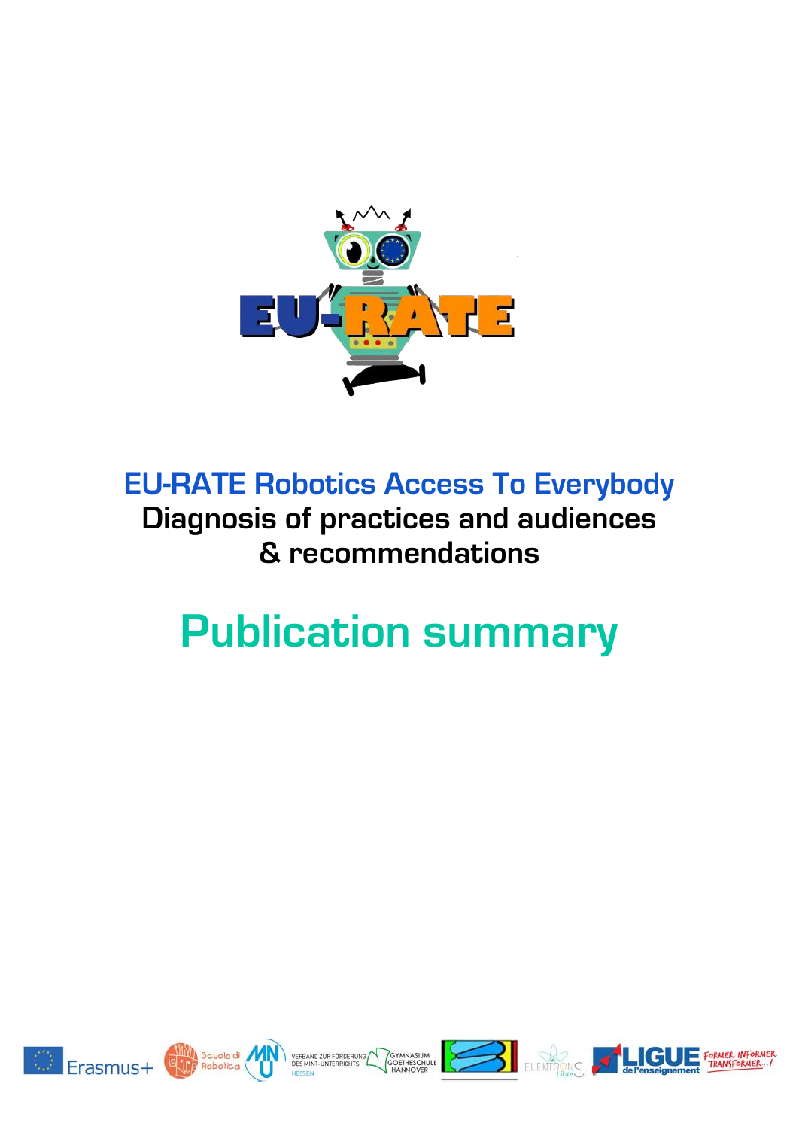

# **EU-RATE Robotics Access To Everybody Diagnosis of practices and audiences & recommendations**

# **Publication summary**













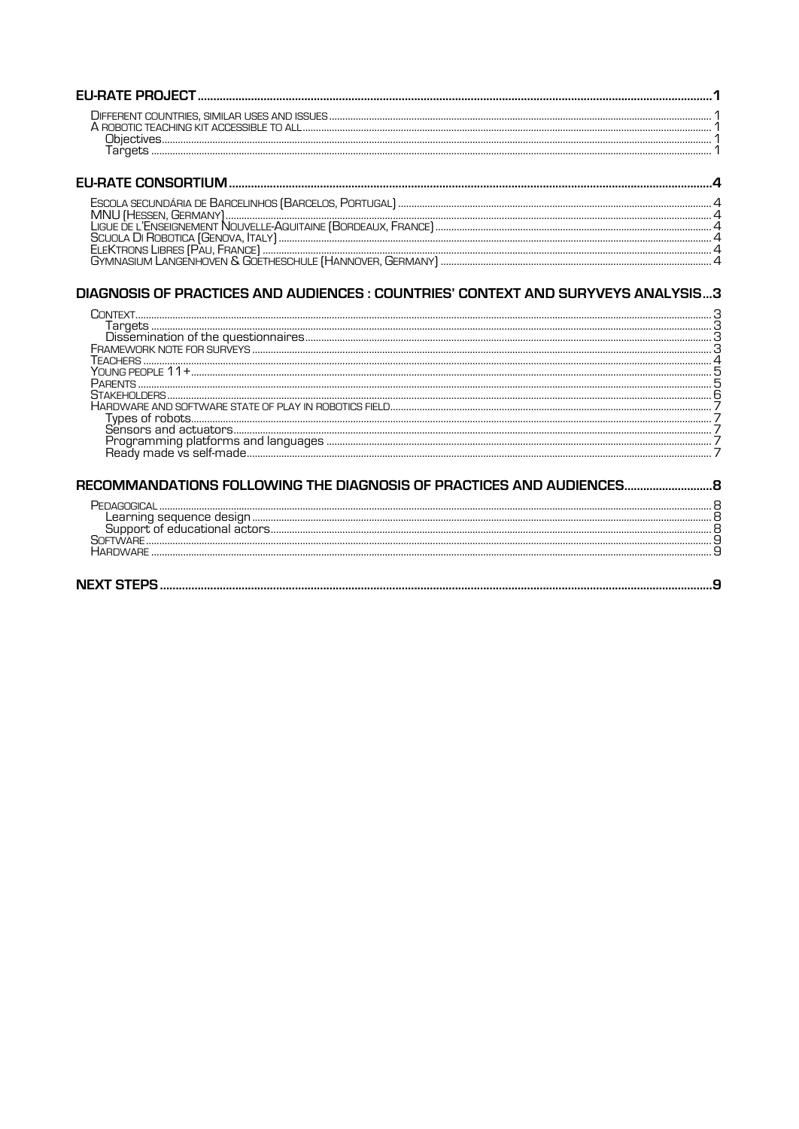| ECCOLA CECUNDÁDIA DE PADOFUNHOC (PADOFUCC DODILICAL) |  |
|------------------------------------------------------|--|

| GYMNASIUM LANGENHOVEN & GOETHESCHULE [HANNOVER, GERMANY] |
|----------------------------------------------------------|

# DIAGNOSIS OF PRACTICES AND AUDIENCES : COUNTRIES' CONTEXT AND SURYVEYS ANALYSIS...3

| MMANDATIONS FOLLOWING THE DIAGNOSIS OF PRACTICES AND AUDIENCES. |  |
|-----------------------------------------------------------------|--|
|                                                                 |  |
|                                                                 |  |

| SOFTWARE        |  |
|-----------------|--|
| <b>HARDWARF</b> |  |
|                 |  |
|                 |  |

| <b>NEXT 1</b> |
|---------------|
|---------------|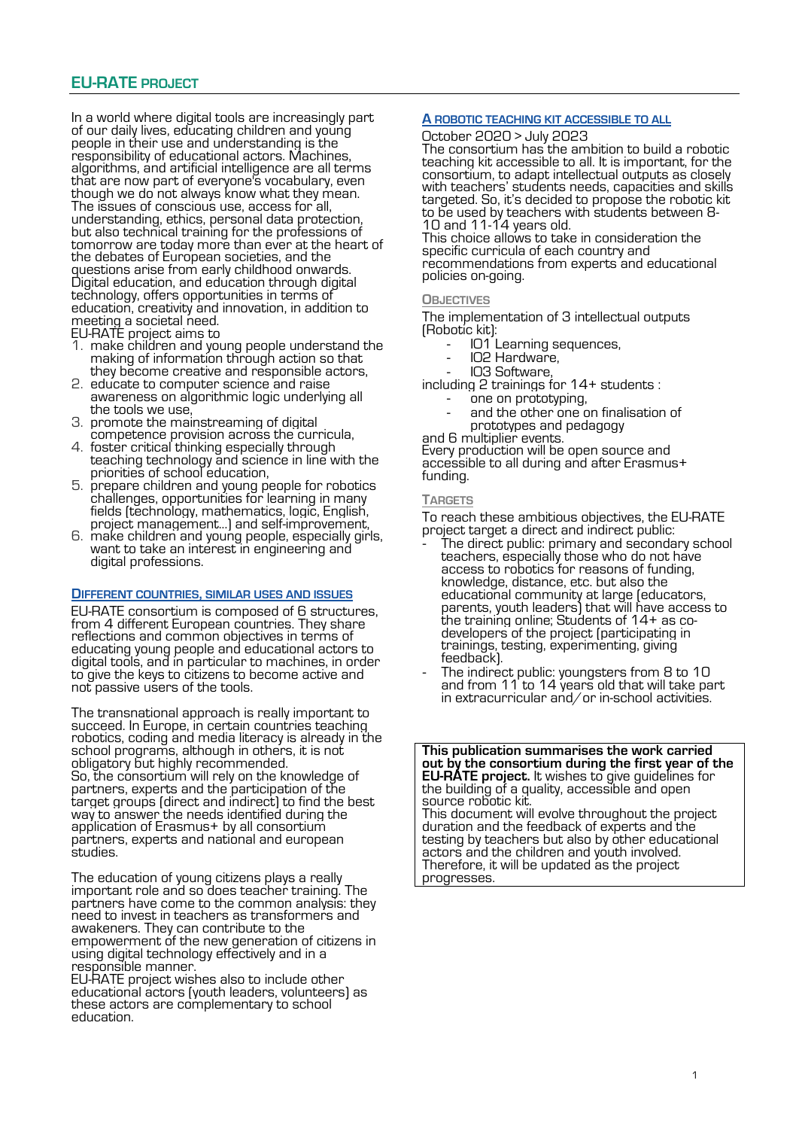# **EU-RATE PROJECT**

In a world where digital tools are increasingly part of our daily lives, educating children and young people in their use and understanding is the responsibility of educational actors. Machines, algorithms, and artificial intelligence are all terms that are now part of everyone's vocabulary, even though we do not always know what they mean. The issues of conscious use, access for all, understanding, ethics, personal data protection, but also technical training for the professions of tomorrow are today more than ever at the heart of the debates of European societies, and the questions arise from early childhood onwards. Digital education, and education through digital technology, offers opportunities in terms of education, creativity and innovation, in addition to meeting a societal need.

- EU-RATE project aims to
- 1. make children and young people understand the making of information through action so that they become creative and responsible actors,
- 2. educate to computer science and raise awareness on algorithmic logic underlying all the tools we use,
- 3. promote the mainstreaming of digital competence provision across the curricula,
- 4. foster critical thinking especially through teaching technology and science in line with the priorities of school education,
- 5. prepare children and young people for robotics challenges, opportunities for learning in many fields (technology, mathematics, logic, English, project management...) and self-improvement,
- 6. make children and young people, especially girls, want to take an interest in engineering and digital professions.

#### **DIFFERENT COUNTRIES, SIMILAR USES AND ISSUES**

EU-RATE consortium is composed of 6 structures, from 4 different European countries. They share reflections and common objectives in terms of educating young people and educational actors to digital tools, and in particular to machines, in order to give the keys to citizens to become active and not passive users of the tools.

The transnational approach is really important to succeed. In Europe, in certain countries teaching robotics, coding and media literacy is already in the school programs, although in others, it is not obligatory but highly recommended. So, the consortium will rely on the knowledge of partners, experts and the participation of the target groups (direct and indirect) to find the best way to answer the needs identified during the application of Erasmus+ by all consortium partners, experts and national and european studies.

The education of young citizens plays a really important role and so does teacher training. The partners have come to the common analysis: they need to invest in teachers as transformers and awakeners. They can contribute to the empowerment of the new generation of citizens in using digital technology effectively and in a responsible manner.

EU-RATE project wishes also to include other educational actors (youth leaders, volunteers) as these actors are complementary to school education.

# **A ROBOTIC TEACHING KIT ACCESSIBLE TO ALL**

#### October 2020 > July 2023

The consortium has the ambition to build a robotic teaching kit accessible to all. It is important, for the consortium, to adapt intellectual outputs as closely with teachers' students needs, capacities and skills targeted. So, it's decided to propose the robotic kit to be used by teachers with students between 8- 10 and 11-14 years old. This choice allows to take in consideration the

specific curricula of each country and recommendations from experts and educational policies on-going.

#### **OBJECTIVES**

The implementation of 3 intellectual outputs (Robotic kit):

- IO1 Learning sequences,
- IO2 Hardware,
- IO3 Software,

including 2 trainings for 14+ students :

- one on prototyping,
- and the other one on finalisation of prototypes and pedagogy
- and 6 multiplier events.

Every production will be open source and accessible to all during and after Erasmus+ funding.

#### **TARGETS**

To reach these ambitious objectives, the EU-RATE project target a direct and indirect public:

- The direct public: primary and secondary school teachers, especially those who do not have access to robotics for reasons of funding, knowledge, distance, etc. but also the educational community at large (educators, parents, youth leaders) that will have access to the training online; Students of 14+ as codevelopers of the project (participating in trainings, testing, experimenting, giving feedback).
- The indirect public: youngsters from 8 to 10 and from 11 to 14 years old that will take part in extracurricular and/or in-school activities.

**This publication summarises the work carried out by the consortium during the first year of the EU-RATE project.** It wishes to give guidelines for the building of a quality, accessible and open source robotic kit.

This document will evolve throughout the project duration and the feedback of experts and the testing by teachers but also by other educational actors and the children and youth involved. Therefore, it will be updated as the project progresses.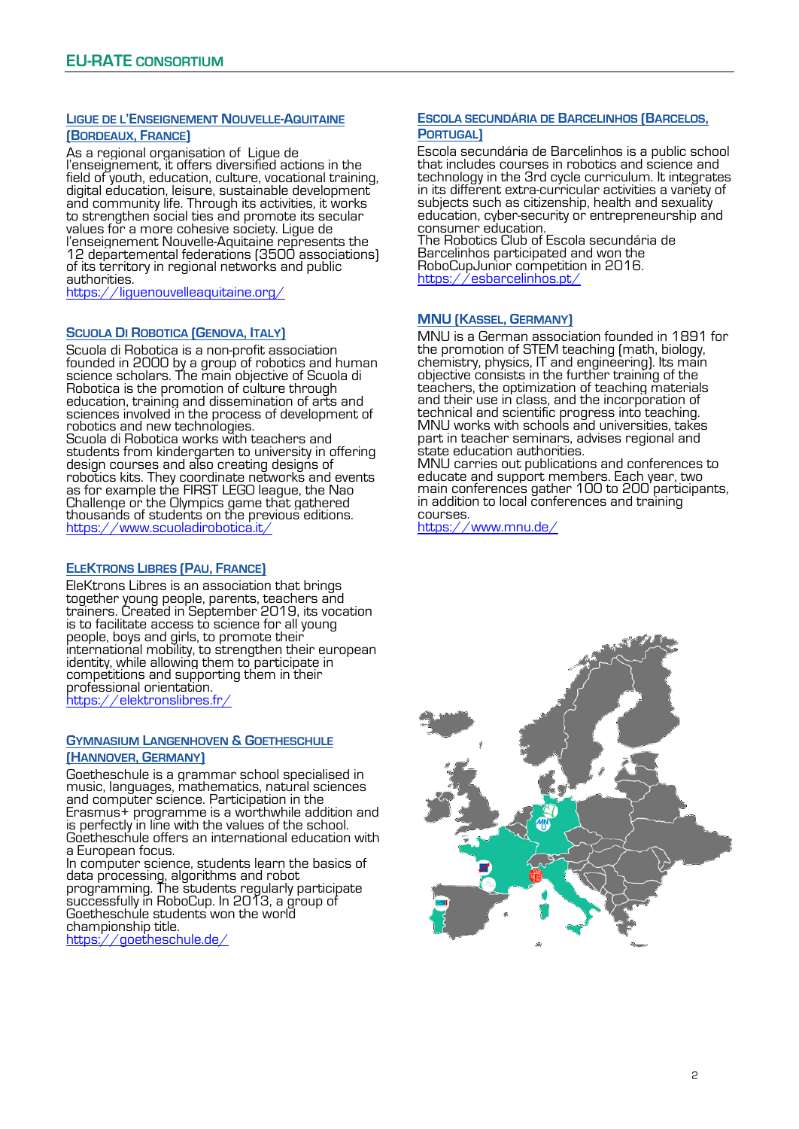# **LIGUE DE L'ENSEIGNEMENT NOUVELLE-AQUITAINE (BORDEAUX, FRANCE)**

As a regional organisation of Ligue de l'enseignement, it offers diversified actions in the field of youth, education, culture, vocational training, digital education, leisure, sustainable development and community life. Through its activities, it works to strengthen social ties and promote its secular values for a more cohesive society. Ligue de l'enseignement Nouvelle-Aquitaine represents the 12 departemental federations (3500 associations) of its territory in regional networks and public authorities.

<https://liguenouvelleaquitaine.org/>

# **SCUOLA DI ROBOTICA (GENOVA, ITALY)**

Scuola di Robotica is a non-profit association founded in 2000 by a group of robotics and human science scholars. The main objective of Scuola di Robotica is the promotion of culture through education, training and dissemination of arts and sciences involved in the process of development of robotics and new technologies.

Scuola di Robotica works with teachers and students from kindergarten to university in offering design courses and also creating designs of robotics kits. They coordinate networks and events as for example the FIRST LEGO league, the Nao Challenge or the Olympics game that gathered thousands of students on the previous editions. <https://www.scuoladirobotica.it/>

#### **ELEKTRONS LIBRES (PAU, FRANCE)**

EleKtrons Libres is an association that brings together young people, parents, teachers and trainers. Created in September 2019, its vocation is to facilitate access to science for all young people, boys and girls, to promote their international mobility, to strengthen their european identity, while allowing them to participate in competitions and supporting them in their professional orientation. https://elektronslibres.fr

**GYMNASIUM LANGENHOVEN & GOETHESCHULE** 

#### **(HANNOVER, GERMANY)**

Goetheschule is a grammar school specialised in music, languages, mathematics, natural sciences and computer science. Participation in the Erasmus+ programme is a worthwhile addition and is perfectly in line with the values of the school. Goetheschule offers an international education with a European focus.

In computer science, students learn the basics of data processing, algorithms and robot programming. The students regularly participate successfully in RoboCup. In 2013, a group of Goetheschule students won the world championship title.

<https://goetheschule.de/>

### **ESCOLA SECUNDÁRIA DE BARCELINHOS (BARCELOS, PORTUGAL)**

Escola secundária de Barcelinhos is a public school that includes courses in robotics and science and technology in the 3rd cycle curriculum. It integrates in its different extra-curricular activities a variety of subjects such as citizenship, health and sexuality education, cyber-security or entrepreneurship and consumer education.

The Robotics Club of Escola secundária de Barcelinhos participated and won the RoboCupJunior competition in 2016. <https://esbarcelinhos.pt/>

#### **MNU (KASSEL, GERMANY)**

MNU is a German association founded in 1891 for the promotion of STEM teaching (math, biology, chemistry, physics, IT and engineering). Its main objective consists in the further training of the teachers, the optimization of teaching materials and their use in class, and the incorporation of technical and scientific progress into teaching. MNU works with schools and universities, takes part in teacher seminars, advises regional and state education authorities.

MNU carries out publications and conferences to educate and support members. Each year, two main conferences gather 100 to 200 participants, in addition to local conferences and training courses.

<https://www.mnu.de/>

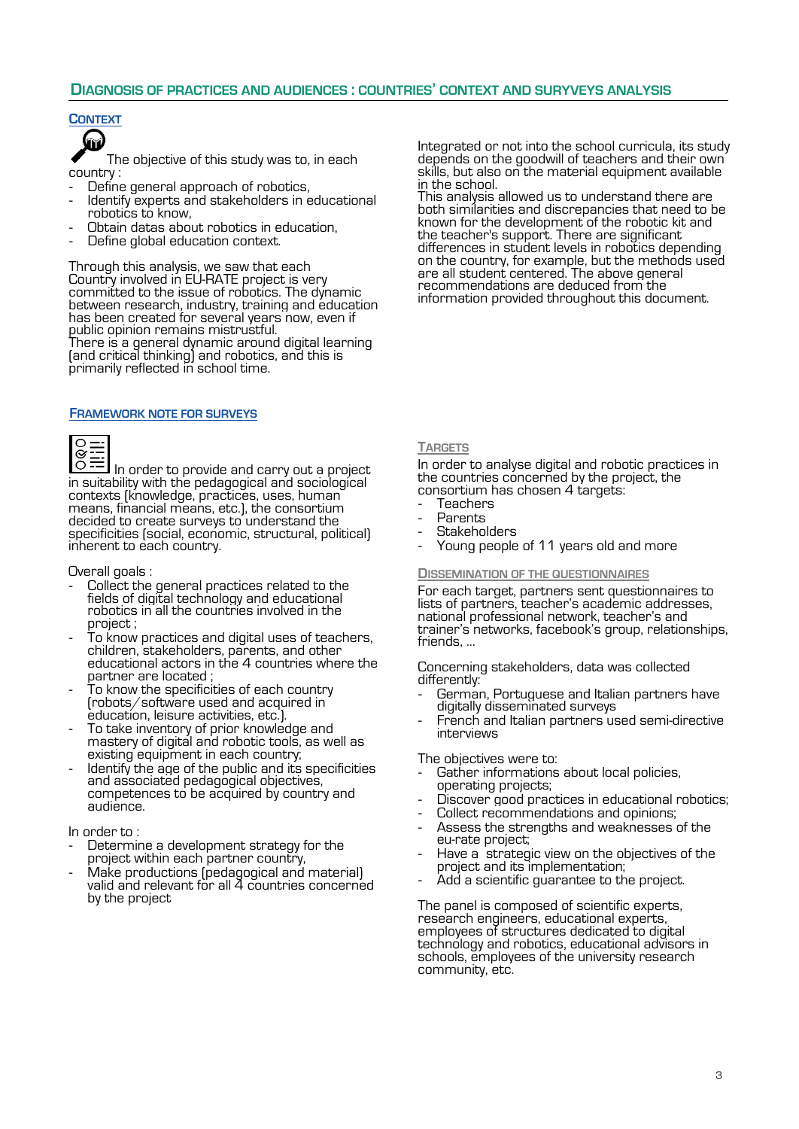# **CONTEXT**



The objective of this study was to, in each country :

- Define general approach of robotics,
- Identify experts and stakeholders in educational robotics to know,
- Obtain datas about robotics in education,
- Define global education context.

Through this analysis, we saw that each Country involved in EU-RATE project is very committed to the issue of robotics. The dynamic between research, industry, training and education has been created for several years now, even if public opinion remains mistrustful. There is a general dynamic around digital learning (and critical thinking) and robotics, and this is primarily reflected in school time.

#### **FRAMEWORK NOTE FOR SURVEYS**



In order to provide and carry out a project in suitability with the pedagogical and sociological contexts (knowledge, practices, uses, human means, financial means, etc.), the consortium decided to create surveys to understand the specificities (social, economic, structural, political) inherent to each country.

#### Overall goals :

- Collect the general practices related to the fields of digital technology and educational robotics in all the countries involved in the project ;
- To know practices and digital uses of teachers, children, stakeholders, parents, and other educational actors in the 4 countries where the partner are located ;
- To know the specificities of each country (robots/software used and acquired in education, leisure activities, etc.).
- To take inventory of prior knowledge and mastery of digital and robotic tools, as well as existing equipment in each country;
- Identify the age of the public and its specificities and associated pedagogical objectives, competences to be acquired by country and audience.

#### In order to :

- Determine a development strategy for the project within each partner country,
- Make productions (pedagogical and material) valid and relevant for all 4 countries concerned by the project

Integrated or not into the school curricula, its study depends on the goodwill of teachers and their own skills, but also on the material equipment available in the school.

This analysis allowed us to understand there are both similarities and discrepancies that need to be known for the development of the robotic kit and the teacher's support. There are significant differences in student levels in robotics depending on the country, for example, but the methods used are all student centered. The above general recommendations are deduced from the information provided throughout this document.

#### **TARGETS**

In order to analyse digital and robotic practices in the countries concerned by the project, the consortium has chosen 4 targets:

- **Teachers**
- **Parents**
- **Stakeholders**
- Young people of 11 years old and more

#### **DISSEMINATION OF THE QUESTIONNAIRES**

For each target, partners sent questionnaires to lists of partners, teacher's academic addresses, national professional network, teacher's and trainer's networks, facebook's group, relationships, friends, …

Concerning stakeholders, data was collected differently:

- German, Portuguese and Italian partners have digitally disseminated surveys
- French and Italian partners used semi-directive interviews

The objectives were to:

- Gather informations about local policies, operating projects;
- Discover good practices in educational robotics;
- Collect recommendations and opinions;
- Assess the strengths and weaknesses of the eu-rate project;
- Have a strategic view on the objectives of the project and its implementation;
- Add a scientific quarantee to the project.

The panel is composed of scientific experts, research engineers, educational experts, employees of structures dedicated to digital technology and robotics, educational advisors in schools, employees of the university research community, etc.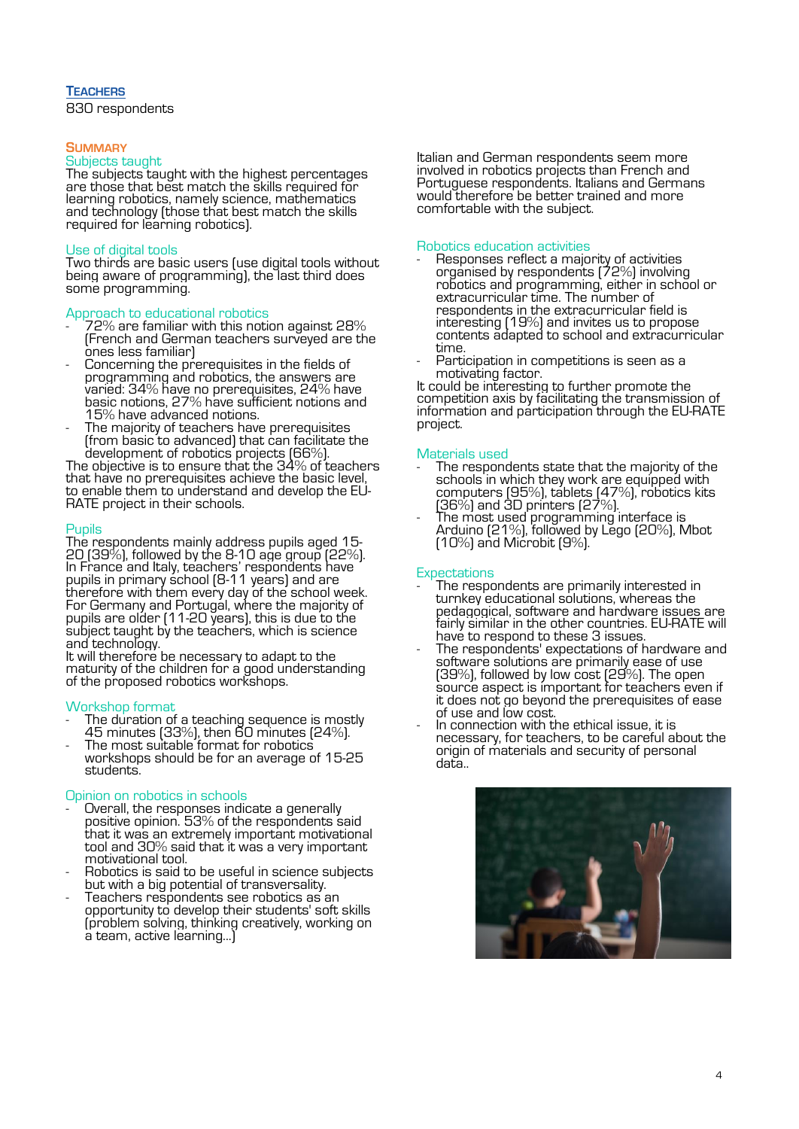# **TEACHERS**

830 respondents

#### **SUMMARY**

#### Subjects taught

The subjects taught with the highest percentages are those that best match the skills required for learning robotics, namely science, mathematics and technology (those that best match the skills required for learning robotics).

## Use of digital tools

Two thirds are basic users (use digital tools without being aware of programming), the last third does some programming.

#### Approach to educational robotics

- $72\%$  are familiar with this notion against  $28\%$ (French and German teachers surveyed are the ones less familiar)
- Concerning the prerequisites in the fields of programming and robotics, the answers are varied: 34% have no prerequisites, 24% have basic notions, 27% have sufficient notions and 15% have advanced notions.
- The majority of teachers have prerequisites (from basic to advanced) that can facilitate the development of robotics projects (66%).

The objective is to ensure that the 34% of teachers that have no prerequisites achieve the basic level, to enable them to understand and develop the EU-RATE project in their schools.

#### Pupils

The respondents mainly address pupils aged 15- 20 (39%), followed by the 8-10 age group (22%). In France and Italy, teachers' respondents have pupils in primary school (8-11 years) and are therefore with them every day of the school week. For Germany and Portugal, where the majority of pupils are older (11-20 years), this is due to the subject taught by the teachers, which is science and technology.

It will therefore be necessary to adapt to the maturity of the children for a good understanding of the proposed robotics workshops.

#### Workshop format

- The duration of a teaching sequence is mostly  $45$  minutes (33%), then  $\rm \bar{6}0$  minutes (24%).
- The most suitable format for robotics workshops should be for an average of 15-25 students.

#### Opinion on robotics in schools

- Overall, the responses indicate a generally positive opinion. 53% of the respondents said that it was an extremely important motivational tool and 30% said that it was a very important motivational tool.
- Robotics is said to be useful in science subjects but with a big potential of transversality.
- Teachers respondents see robotics as an opportunity to develop their students' soft skills (problem solving, thinking creatively, working on a team, active learning...)

Italian and German respondents seem more involved in robotics projects than French and Portuguese respondents. Italians and Germans would therefore be better trained and more comfortable with the subject.

#### Robotics education activities

- Responses reflect a majority of activities organised by respondents (72%) involving robotics and programming, either in school or extracurricular time. The number of respondents in the extracurricular field is interesting (19%) and invites us to propose contents adapted to school and extracurricular time.
- Participation in competitions is seen as a motivating factor.

It could be interesting to further promote the competition axis by facilitating the transmission of information and participation through the EU-RATE project.

#### Materials used

- The respondents state that the majority of the schools in which they work are equipped with computers (95%), tablets (47%), robotics kits (36%) and 3D printers (27%).
- The most used programming interface is Arduino (21%), followed by Lego (20%), Mbot (10%) and Microbit (9%).

# **Expectations**

- The respondents are primarily interested in turnkey educational solutions, whereas the pedagogical, software and hardware issues are fairly similar in the other countries. EU-RATE will have to respond to these 3 issues.
- The respondents' expectations of hardware and software solutions are primarily ease of use (39%), followed by low cost (29%). The open source aspect is important for teachers even if it does not go beyond the prerequisites of ease of use and low cost.
- In connection with the ethical issue, it is necessary, for teachers, to be careful about the origin of materials and security of personal data..

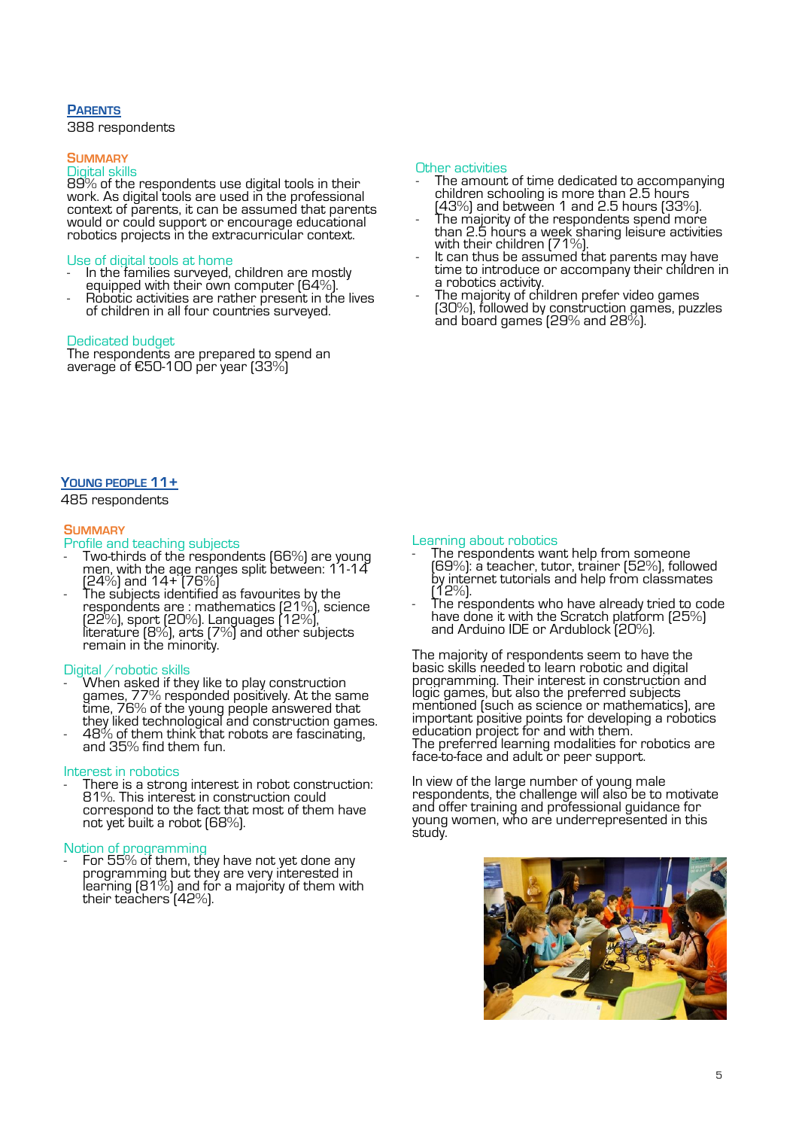# **PARENTS**

388 respondents

#### **SUMMARY**

# Digital skills

89% of the respondents use digital tools in their work. As digital tools are used in the professional context of parents, it can be assumed that parents would or could support or encourage educational robotics projects in the extracurricular context.

#### Use of digital tools at home

- In the families surveyed, children are mostly equipped with their own computer (64%).
- Robotic activities are rather present in the lives of children in all four countries surveyed.

#### Dedicated budget

The respondents are prepared to spend an average of €50-100 per year (33%)

#### Other activities

- The amount of time dedicated to accompanying children schooling is more than 2.5 hours  $(43%)$  and between 1 and 2.5 hours  $(33%)$ .
- The majority of the respondents spend more than 2.5 hours a week sharing leisure activities with their children (71%).
- It can thus be assumed that parents may have time to introduce or accompany their children in a robotics activity.
- The majority of children prefer video games (30%), followed by construction games, puzzles and board games (29% and 28%).

# **YOUNG PEOPLE 11+**

485 respondents

# **SUMMARY**

### Profile and teaching subjects

- Two-thirds of the respondents (66%) are young men, with the age ranges split between: 11-14 $\widetilde{ }$ (24%) and 14+ (76%)
- The subjects identified as favourites by the respondents are : mathematics (21%), science (22%), sport (20%). Languages (12%), literature (8%), arts (7%) and other subjects remain in the minority.

#### Digital / robotic skills

- When asked if they like to play construction games, 77% responded positively. At the same time, 76% of the young people answered that they liked technological and construction games.
- 48% of them think that robots are fascinating, and 35% find them fun.

#### Interest in robotics

There is a strong interest in robot construction: 81%. This interest in construction could correspond to the fact that most of them have not yet built a robot (68%).

#### Notion of programming

- For 55% of them, they have not yet done any programming but they are very interested in  $\,$ learning (81 $\%$ ) and for a majority of them with their teachers (42%).

#### Learning about robotics

- The respondents want help from someone (69%): a teacher, tutor, trainer (52%), followed by internet tutorials and help from classmates (12%).
- The respondents who have already tried to code have done it with the Scratch platform (25%) and Arduino IDE or Ardublock (20%).

The majority of respondents seem to have the basic skills needed to learn robotic and digital programming. Their interest in construction and logic games, but also the preferred subjects mentioned (such as science or mathematics), are important positive points for developing a robotics education project for and with them. The preferred learning modalities for robotics are face-to-face and adult or peer support.

In view of the large number of young male respondents, the challenge will also be to motivate and offer training and professional guidance for young women, who are underrepresented in this study.

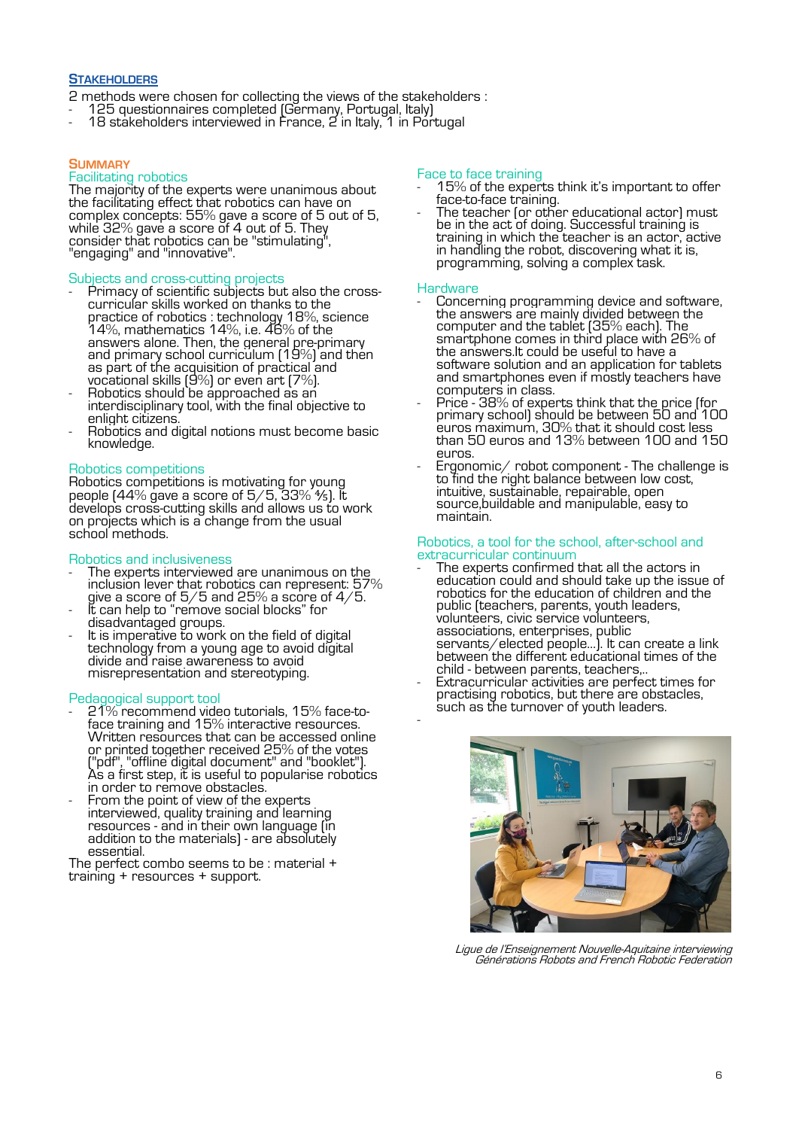# **STAKEHOLDERS**

2 methods were chosen for collecting the views of the stakeholders :

- 125 questionnaires completed (Germany, Portugal, Italy)
- 18 stakeholders interviewed in France, 2 in Italy, 1 in Portugal

#### **SUMMARY**

#### Facilitating robotics

The majority of the experts were unanimous about the facilitating effect that robotics can have on complex concepts: 55% gave a score of 5 out of 5, while 32% gave a score of 4 out of 5. They consider that robotics can be "stimulating", "engaging" and "innovative".

#### Subjects and cross-cutting projects

- Primacy of scientific subjects but also the crosscurricular skills worked on thanks to the practice of robotics : technology 18%, science 14%, mathematics 14%, i.e. 46% of the answers alone. Then, the general pre-primary and primary school curriculum [19%] and then as part of the acquisition of practical and vocational skills (9%) or even art (7%).
- Robotics should be approached as an interdisciplinary tool, with the final objective to enlight citizens.
- Robotics and digital notions must become basic knowledge.

#### Robotics competitions

Robotics competitions is motivating for young people (44% gave a score of 5/5, 33%  $4$ s). It develops cross-cutting skills and allows us to work on projects which is a change from the usual school methods.

#### Robotics and inclusiveness

- The experts interviewed are unanimous on the inclusion lever that robotics can represent: 57% give a score of 5/5 and 25% a score of 4/5.
- It can help to "remove social blocks" for disadvantaged groups.
- It is imperative to work on the field of digital technology from a young age to avoid digital divide and raise awareness to avoid misrepresentation and stereotyping.

#### Pedagogical support tool

- 21% recommend video tutorials, 15% face-toface training and 15% interactive resources. Written resources that can be accessed online or printed together received 25% of the votes ("pdf", "offline digital document" and "booklet"). As a first step, it is useful to popularise robotics in order to remove obstacles.
- From the point of view of the experts interviewed, quality training and learning resources - and in their own language (in addition to the materials) - are absolutely essential.

The perfect combo seems to be : material + training + resources + support.

# Face to face training

- 15% of the experts think it's important to offer face-to-face training.
- The teacher (or other educational actor) must be in the act of doing. Successful training is training in which the teacher is an actor, active in handling the robot, discovering what it is, programming, solving a complex task.

#### **Hardware**

- Concerning programming device and software, the answers are mainly divided between the computer and the tablet (35% each). The smartphone comes in third place with 26% of the answers.It could be useful to have a software solution and an application for tablets and smartphones even if mostly teachers have computers in class.
- Price 38% of experts think that the price (for primary school) should be between 50 and 100 euros maximum, 30% that it should cost less than 50 euros and 13% between 100 and 150 euros.
- Ergonomic/ robot component The challenge is to find the right balance between low cost, intuitive, sustainable, repairable, open source,buildable and manipulable, easy to maintain.

#### Robotics, a tool for the school, after-school and extracurricular continuum

- The experts confirmed that all the actors in education could and should take up the issue of robotics for the education of children and the public (teachers, parents, youth leaders, volunteers, civic service volunteers, associations, enterprises, public servants/elected people…). It can create a link between the different educational times of the child - between parents, teachers,..
- Extracurricular activities are perfect times for practising robotics, but there are obstacles, such as the turnover of youth leaders. -



Ligue de l'Enseignement Nouvelle-Aquitaine interviewing Générations Robots and French Robotic Federation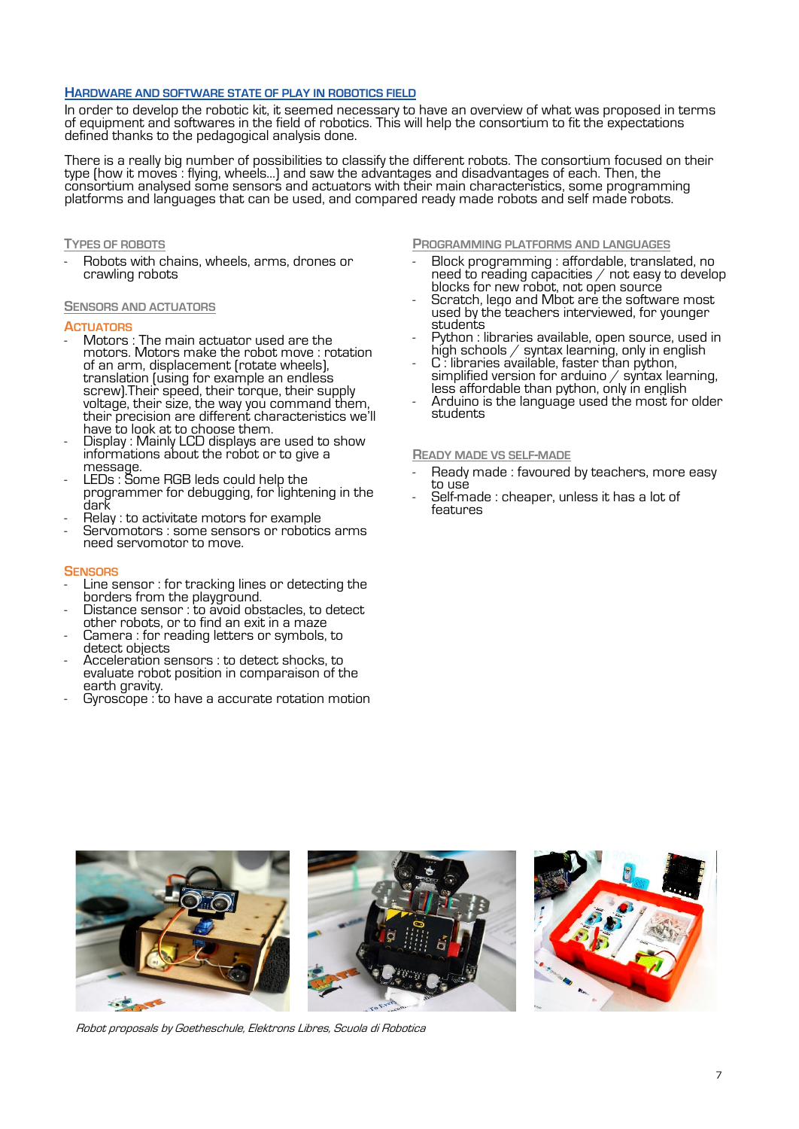#### **HARDWARE AND SOFTWARE STATE OF PLAY IN ROBOTICS FIELD**

In order to develop the robotic kit, it seemed necessary to have an overview of what was proposed in terms of equipment and softwares in the field of robotics. This will help the consortium to fit the expectations defined thanks to the pedagogical analysis done.

There is a really big number of possibilities to classify the different robots. The consortium focused on their type (how it moves : flying, wheels…) and saw the advantages and disadvantages of each. Then, the consortium analysed some sensors and actuators with their main characteristics, some programming platforms and languages that can be used, and compared ready made robots and self made robots.

#### **TYPES OF ROBOTS**

- Robots with chains, wheels, arms, drones or crawling robots

#### **SENSORS AND ACTUATORS**

#### **ACTUATORS**

- Motors : The main actuator used are the motors. Motors make the robot move : rotation of an arm, displacement (rotate wheels), translation (using for example an endless screw).Their speed, their torque, their supply voltage, their size, the way you command them, their precision are different characteristics we'll have to look at to choose them.
- Display : Mainly LCD displays are used to show informations about the robot or to give a message.
- LEDs : Some RGB leds could help the programmer for debugging, for lightening in the dark
- Relay : to activitate motors for example
- Servomotors : some sensors or robotics arms need servomotor to move.

#### **SENSORS**

- Line sensor : for tracking lines or detecting the borders from the playground.
- Distance sensor : to avoid obstacles, to detect other robots, or to find an exit in a maze
- Camera : for reading letters or symbols, to detect objects
- Acceleration sensors : to detect shocks, to evaluate robot position in comparaison of the earth gravity.
- Gyroscope : to have a accurate rotation motion

**PROGRAMMING PLATFORMS AND LANGUAGES**

- Block programming : affordable, translated, no need to reading capacities  $/$  not easy to develop blocks for new robot, not open source
- Scratch, lego and Mbot are the software most used by the teachers interviewed, for younger students
- Python : libraries available, open source, used in high schools / syntax learning, only in english
- C : libraries available, faster than python, simplified version for arduino  $/$  syntax learning, less affordable than python, only in english
- Arduino is the language used the most for older students

#### **READY MADE VS SELF-MADE**

- Ready made: favoured by teachers, more easy to use
- Self-made : cheaper, unless it has a lot of features



Robot proposals by Goetheschule, Elektrons Libres, Scuola di Robotica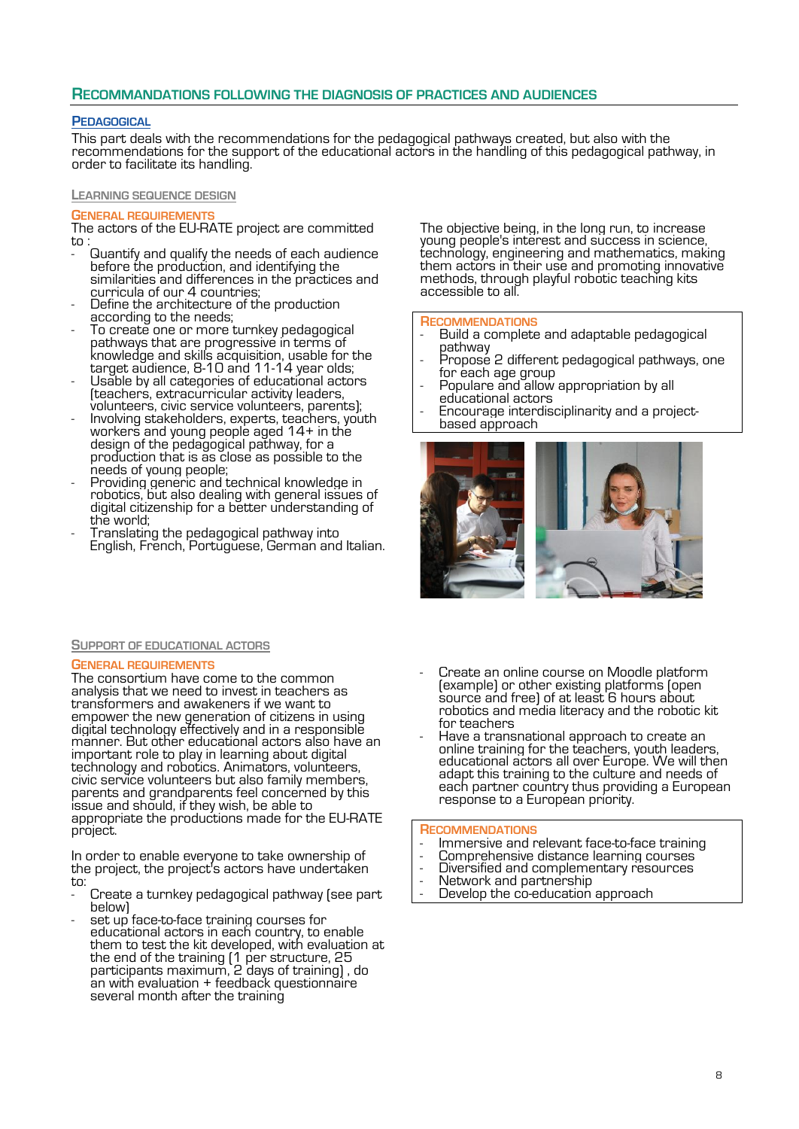# **RECOMMANDATIONS FOLLOWING THE DIAGNOSIS OF PRACTICES AND AUDIENCES**

#### **PEDAGOGICAL**

This part deals with the recommendations for the pedagogical pathways created, but also with the recommendations for the support of the educational actors in the handling of this pedagogical pathway, in order to facilitate its handling.

#### **LEARNING SEQUENCE DESIGN**

#### **GENERAL REQUIREMENTS**

The actors of the EU-RATE project are committed to :

- Guantify and qualify the needs of each audience before the production, and identifying the similarities and differences in the practices and curricula of our 4 countries;
- Define the architecture of the production according to the needs;
- To create one or more turnkey pedagogical pathways that are progressive in terms of knowledge and skills acquisition, usable for the target audience, 8-10 and 11-14 year olds;
- Usable by all categories of educational actors (teachers, extracurricular activity leaders, volunteers, civic service volunteers, parents);
- Involving stakeholders, experts, teachers, youth workers and young people aged 14+ in the design of the pedagogical pathway, for a production that is as close as possible to the needs of young people;
- Providing generic and technical knowledge in robotics, but also dealing with general issues of digital citizenship for a better understanding of the world;
- Translating the pedagogical pathway into English, French, Portuguese, German and Italian.

#### **SUPPORT OF EDUCATIONAL ACTORS**

#### **GENERAL REQUIREMENTS**

The consortium have come to the common analysis that we need to invest in teachers as transformers and awakeners if we want to empower the new generation of citizens in using digital technology effectively and in a responsible manner. But other educational actors also have an important role to play in learning about digital technology and robotics. Animators, volunteers, civic service volunteers but also family members, parents and grandparents feel concerned by this issue and should, if they wish, be able to appropriate the productions made for the EU-RATE project.

In order to enable everyone to take ownership of the project, the project's actors have undertaken to:

- Create a turnkey pedagogical pathway (see part below)
- set up face-to-face training courses for educational actors in each country, to enable them to test the kit developed, with evaluation at the end of the training (1 per structure, 25 participants maximum, 2 days of training) , do an with evaluation + feedback questionnaire several month after the training

The objective being, in the long run, to increase young people's interest and success in science, technology, engineering and mathematics, making them actors in their use and promoting innovative methods, through playful robotic teaching kits accessible to all.

#### **RECOMMENDATIONS**

- Build a complete and adaptable pedagogical pathway
- Propose 2 different pedagogical pathways, one for each age group
- Populare and allow appropriation by all educational actors
- Encourage interdisciplinarity and a projectbased approach



- Create an online course on Moodle platform (example) or other existing platforms (open source and free) of at least 6 hours about robotics and media literacy and the robotic kit for teachers
- Have a transnational approach to create an online training for the teachers, youth leaders, educational actors all over Europe. We will then adapt this training to the culture and needs of each partner country thus providing a European response to a European priority.

#### **RECOMMENDATIONS**

- Immersive and relevant face-to-face training
- Comprehensive distance learning courses
- Diversified and complementary resources
- Network and partnership
- Develop the co-education approach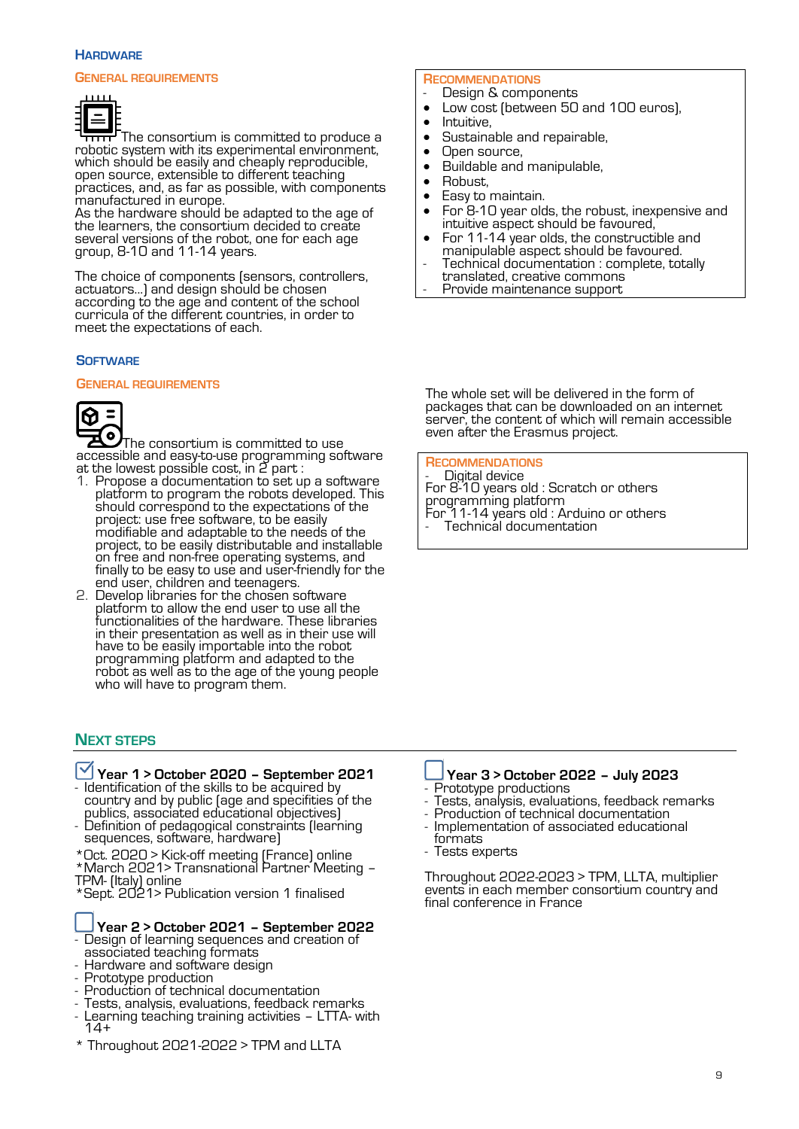#### **HARDWARE**

#### **GENERAL REQUIREMENTS**



The consortium is committed to produce a त्तत robotic system with its experimental environment, which should be easily and cheaply reproducible, open source, extensible to different teaching practices, and, as far as possible, with components manufactured in europe.

As the hardware should be adapted to the age of the learners, the consortium decided to create several versions of the robot, one for each age group, 8-10 and 11-14 years.

The choice of components (sensors, controllers, actuators...) and design should be chosen according to the age and content of the school curricula of the different countries, in order to meet the expectations of each.

#### **SOFTWARE**

#### **GENERAL REQUIREMENTS**



The consortium is committed to use accessible and easy-to-use programming software at the lowest possible cost, in 2 part :

- 1. Propose a documentation to set up a software platform to program the robots developed. This should correspond to the expectations of the project: use free software, to be easily modifiable and adaptable to the needs of the project, to be easily distributable and installable on free and non-free operating systems, and finally to be easy to use and user-friendly for the end user, children and teenagers.
- 2. Develop libraries for the chosen software platform to allow the end user to use all the functionalities of the hardware. These libraries in their presentation as well as in their use will have to be easily importable into the robot programming platform and adapted to the robot as well as to the age of the young people who will have to program them.

# **NEXT STEPS**

# **Year 1 > October 2020 – September 2021**

- Identification of the skills to be acquired by country and by public (age and specifities of the publics, associated educational objectives)

- Definition of pedagogical constraints (learning sequences, software, hardware)
- \*Oct. 2020 > Kick-off meeting (France) online
- \*March 2021> Transnational Partner Meeting TPM- (Italy) online

\*Sept. 2021> Publication version 1 finalised

#### **Year 2 > October 2021 – September 2022** - Design of learning sequences and creation of associated teaching formats

- Hardware and software design
- Prototype production
- Production of technical documentation
- Tests, analysis, evaluations, feedback remarks
- Learning teaching training activities LTTA- with  $14+$
- \* Throughout 2021-2022 > TPM and LLTA

# **RECOMMENDATIONS**

- Design & components • Low cost (between 50 and 100 euros),<br>• Intuitive
- Intuitive,
- Sustainable and repairable,<br>• Open source
- 
- Open source,<br>• Buildable and Buildable and manipulable,
- Robust.
- Easy to maintain.
- For 8-10 year olds, the robust, inexpensive and intuitive aspect should be favoured,
- For 11-14 year olds, the constructible and manipulable aspect should be favoured.
- Technical documentation : complete, totally translated, creative commons
- Provide maintenance support

The whole set will be delivered in the form of packages that can be downloaded on an internet server, the content of which will remain accessible even after the Erasmus project.

#### **RECOMMENDATIONS**

- Digital device For 8-10 years old : Scratch or others programming platform For 11-14 years old : Arduino or others Technical documentation

#### **Year 3 > October 2022 – July 2023** Prototype productions

- Tests, analysis, evaluations, feedback remarks
- Production of technical documentation
- Implementation of associated educational formats
- Tests experts

Throughout 2022-2023 > TPM, LLTA, multiplier events in each member consortium country and final conference in France